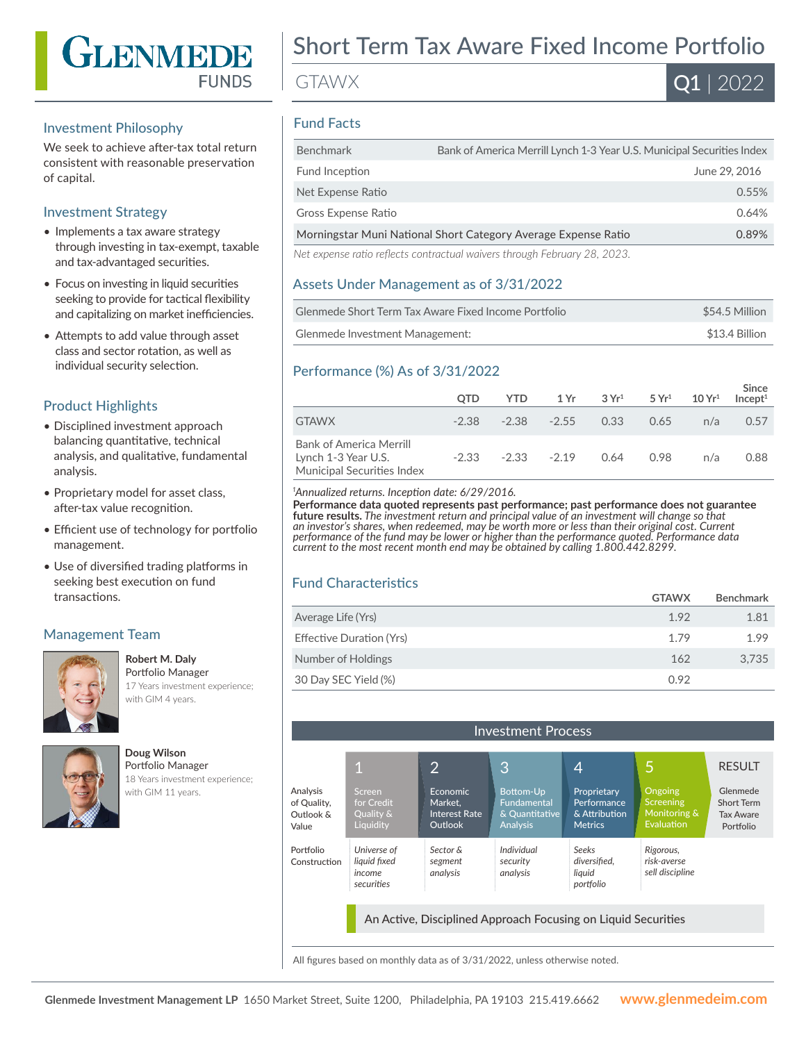

#### Investment Philosophy

We seek to achieve after-tax total return consistent with reasonable preservation of capital.

#### Investment Strategy

- Implements a tax aware strategy through investing in tax-exempt, taxable and tax-advantaged securities.
- Focus on investing in liquid securities seeking to provide for tactical flexibility and capitalizing on market inefficiencies.
- Attempts to add value through asset class and sector rotation, as well as individual security selection.

### Product Highlights

- Disciplined investment approach balancing quantitative, technical analysis, and qualitative, fundamental analysis.
- Proprietary model for asset class, after-tax value recognition.
- Efficient use of technology for portfolio management.
- Use of diversified trading platforms in seeking best execution on fund transactions.

#### Management Team



**Robert M. Daly** Portfolio Manager

17 Years investment experience; with GIM 4 years.



**Doug Wilson** Portfolio Manager

18 Years investment experience; with GIM 11 years.

# Short Term Tax Aware Fixed Income Portfolio

GTAWX

 $\overline{{\bf Q1}}$  | 2022

### Fund Facts

| <b>Benchmark</b>                                               | Bank of America Merrill Lynch 1-3 Year U.S. Municipal Securities Index    |               |
|----------------------------------------------------------------|---------------------------------------------------------------------------|---------------|
| Fund Inception                                                 |                                                                           | June 29, 2016 |
| Net Expense Ratio                                              |                                                                           | 0.55%         |
| Gross Expense Ratio                                            |                                                                           | 0.64%         |
| Morningstar Muni National Short Category Average Expense Ratio |                                                                           | 0.89%         |
|                                                                | Net expense ratio reflects contractual waivers through February 28, 2023. |               |

#### Assets Under Management as of 3/31/2022

| Glenmede Short Term Tax Aware Fixed Income Portfolio | \$54.5 Million |
|------------------------------------------------------|----------------|
| Glenmede Investment Management:                      | \$13.4 Billion |

#### Performance (%) As of 3/31/2022

|                                                                              | <b>OTD</b> | YTD. |                | $1 \, \text{Yr}$ $3 \, \text{Yr}^1$ $5 \, \text{Yr}^1$ |      | $10 Yr^1$ | Since<br>Incept <sup>1</sup> |
|------------------------------------------------------------------------------|------------|------|----------------|--------------------------------------------------------|------|-----------|------------------------------|
| <b>GTAWX</b>                                                                 | $-2.38$    |      | $-2.38 - 2.55$ | 0.33                                                   | 0.65 | n/a       | 0.57                         |
| Bank of America Merrill<br>Lynch 1-3 Year U.S.<br>Municipal Securities Index | $-2.33$    |      | $-2.33 - 2.19$ | 0.64                                                   | 0.98 | n/a       | 0.88                         |

*1 Annualized returns. Inception date: 6/29/2016.*

**Performance data quoted represents past performance; past performance does not guarantee future results.** The investment return and principal value of an investment will change so that<br>an investor's shares, when redeemed, may be worth more or less than their original cost. Current *performance of the fund may be lower or higher than the performance quoted. Performance data current to the most recent month end may be obtained by calling 1.800.442.8299.*

## Fund Characteristics

|                          | <b>GTAWX</b> | <b>Benchmark</b> |
|--------------------------|--------------|------------------|
| Average Life (Yrs)       | 1.92         | 1.81             |
| Effective Duration (Yrs) | 1.79         | 1.99             |
| Number of Holdings       | 162          | 3.735            |
| 30 Day SEC Yield (%)     | 0.92         |                  |

| <b>Investment Process</b>                                     |                                                     |                                                        |                                                               |                                                               |                                                           |                                                                |
|---------------------------------------------------------------|-----------------------------------------------------|--------------------------------------------------------|---------------------------------------------------------------|---------------------------------------------------------------|-----------------------------------------------------------|----------------------------------------------------------------|
|                                                               |                                                     | $\overline{2}$                                         | 3                                                             | 4                                                             | 5                                                         | <b>RESULT</b>                                                  |
| Analysis<br>of Quality,<br>Outlook &<br>Value                 | Screen<br>for Credit<br>Quality &<br>Liquidity      | Economic<br>Market.<br>Interest Rate<br><b>Outlook</b> | Bottom-Up<br>Fundamental<br>& Quantitative<br><b>Analysis</b> | Proprietary<br>Performance<br>& Attribution<br><b>Metrics</b> | Ongoing<br><b>Screening</b><br>Monitoring &<br>Evaluation | Glenmede<br><b>Short Term</b><br><b>Tax Aware</b><br>Portfolio |
| Portfolio<br>Construction                                     | Universe of<br>liquid fixed<br>income<br>securities | Sector &<br>segment<br>analysis                        | Individual<br>security<br>analysis                            | <b>Seeks</b><br>diversified.<br>liquid<br>portfolio           | Rigorous,<br>risk-averse<br>sell discipline               |                                                                |
| An Active, Disciplined Approach Focusing on Liquid Securities |                                                     |                                                        |                                                               |                                                               |                                                           |                                                                |

All figures based on monthly data as of 3/31/2022, unless otherwise noted.